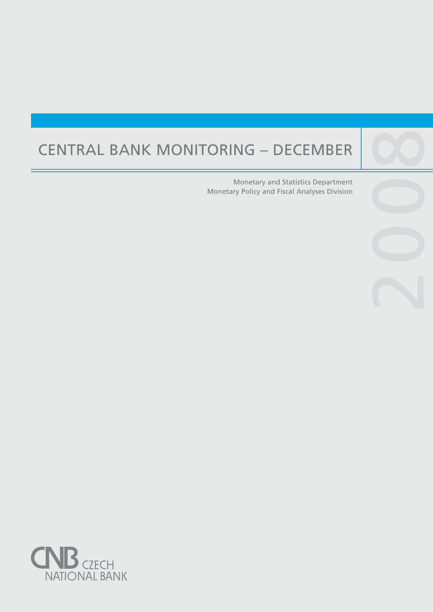# CENTRAL BANK MONITORING – DECEMBER

Central banks are not universities and one would

purpose, such as, to lay the ground for the satisfac-

Monetary and Statistics Department Monetary Policy and Fiscal Analyses Division

2009

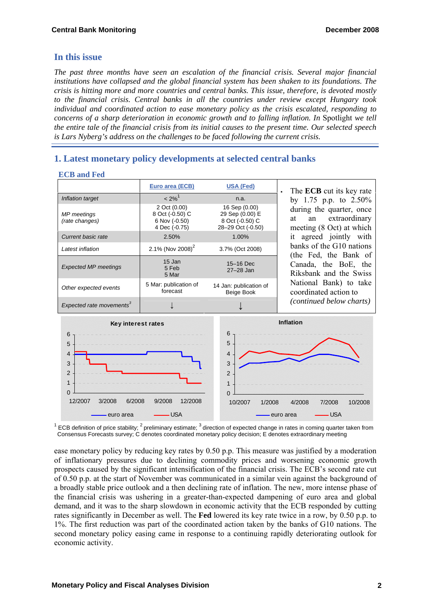## **In this issue**

 **ECB and Fed** 

*The past three months have seen an escalation of the financial crisis. Several major financial institutions have collapsed and the global financial system has been shaken to its foundations. The crisis is hitting more and more countries and central banks. This issue, therefore, is devoted mostly to the financial crisis. Central banks in all the countries under review except Hungary took individual and coordinated action to ease monetary policy as the crisis escalated, responding to concerns of a sharp deterioration in economic growth and to falling inflation. In Spotlight we tell the entire tale of the financial crisis from its initial causes to the present time. Our selected speech is Lars Nyberg's address on the challenges to be faced following the current crisis.* 

# **1. Latest monetary policy developments at selected central banks**

| LUD anu ruu                          |                                                                   |                                                                          |                                                                                                                                                                                                                                             |
|--------------------------------------|-------------------------------------------------------------------|--------------------------------------------------------------------------|---------------------------------------------------------------------------------------------------------------------------------------------------------------------------------------------------------------------------------------------|
|                                      | Euro area (ECB)                                                   | <b>USA (Fed)</b>                                                         | The <b>ECB</b> cut its key rate                                                                                                                                                                                                             |
| Inflation target                     | $< 2\%$ <sup>1</sup>                                              | n.a.                                                                     | by 1.75 p.p. to $2.50\%$<br>during the quarter, once<br>an extraordinary<br>at<br>meeting (8 Oct) at which<br>it agreed jointly with<br>banks of the G10 nations<br>(the Fed, the Bank of<br>Canada, the BoE, the<br>Riksbank and the Swiss |
| MP meetings<br>(rate changes)        | 2 Oct (0.00)<br>8 Oct (-0.50) C<br>6 Nov (-0.50)<br>4 Dec (-0.75) | 16 Sep (0.00)<br>29 Sep (0.00) E<br>8 Oct (-0.50) C<br>28-29 Oct (-0.50) |                                                                                                                                                                                                                                             |
| Current basic rate                   | 2.50%                                                             | $1.00\%$                                                                 |                                                                                                                                                                                                                                             |
| Latest inflation                     | 2.1% (Nov 2008) <sup>2</sup>                                      | 3.7% (Oct 2008)                                                          |                                                                                                                                                                                                                                             |
| <b>Expected MP meetings</b>          | 15 Jan<br>5 Feb<br>5 Mar                                          | 15-16 Dec<br>$27 - 28$ Jan                                               |                                                                                                                                                                                                                                             |
| Other expected events                | 5 Mar: publication of<br>forecast                                 | 14 Jan: publication of<br>Beige Book                                     | National Bank) to take<br>coordinated action to                                                                                                                                                                                             |
| Expected rate movements <sup>3</sup> |                                                                   |                                                                          | <i>(continued below charts)</i>                                                                                                                                                                                                             |



 $^1$  ECB definition of price stability; <sup>2</sup> preliminary estimate; <sup>3</sup> direction of expected change in rates in coming quarter taken from Consensus Forecasts survey; C denotes coordinated monetary policy decision; E denotes extraordinary meeting

ease monetary policy by reducing key rates by 0.50 p.p. This measure was justified by a moderation of inflationary pressures due to declining commodity prices and worsening economic growth prospects caused by the significant intensification of the financial crisis. The ECB's second rate cut of 0.50 p.p. at the start of November was communicated in a similar vein against the background of a broadly stable price outlook and a then declining rate of inflation. The new, more intense phase of the financial crisis was ushering in a greater-than-expected dampening of euro area and global demand, and it was to the sharp slowdown in economic activity that the ECB responded by cutting rates significantly in December as well. The **Fed** lowered its key rate twice in a row, by 0.50 p.p. to 1%. The first reduction was part of the coordinated action taken by the banks of G10 nations. The second monetary policy easing came in response to a continuing rapidly deteriorating outlook for economic activity.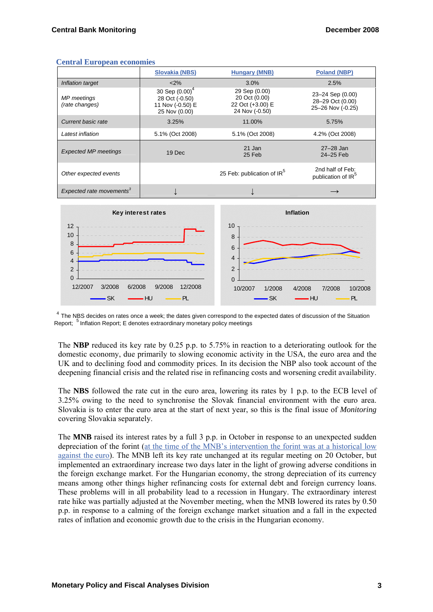|                                      | <b>Slovakia (NBS)</b>                                                    | <b>Hungary (MNB)</b>                                                 | <b>Poland (NBP)</b>                                       |
|--------------------------------------|--------------------------------------------------------------------------|----------------------------------------------------------------------|-----------------------------------------------------------|
| Inflation target                     | < 2%                                                                     | 3.0%                                                                 | 2.5%                                                      |
| <b>MP</b> meetings<br>(rate changes) | 30 Sep $(0.00)^4$<br>28 Oct (-0.50)<br>11 Nov (-0.50) E<br>25 Nov (0.00) | 29 Sep (0.00)<br>20 Oct (0.00)<br>22 Oct (+3.00) E<br>24 Nov (-0.50) | 23-24 Sep (0.00)<br>28-29 Oct (0.00)<br>25-26 Nov (-0.25) |
| Current basic rate                   | 3.25%                                                                    | 11.00%                                                               | 5.75%                                                     |
| Latest inflation                     | 5.1% (Oct 2008)                                                          | 5.1% (Oct 2008)                                                      | 4.2% (Oct 2008)                                           |
| <b>Expected MP meetings</b>          | 19 Dec                                                                   | 21 Jan<br>25 Feb                                                     | $27 - 28$ Jan<br>24-25 Feb                                |
| Other expected events                |                                                                          | 25 Feb: publication of IR <sup>5</sup>                               | 2nd half of Feb:<br>publication of IR <sup>5</sup>        |
| Expected rate movements <sup>3</sup> |                                                                          |                                                                      |                                                           |

#### **Central European economies**



 $4$  The NBS decides on rates once a week; the dates given correspond to the expected dates of discussion of the Situation Report; 5 Inflation Report; E denotes extraordinary monetary policy meetings

The **NBP** reduced its key rate by 0.25 p.p. to 5.75% in reaction to a deteriorating outlook for the domestic economy, due primarily to slowing economic activity in the USA, the euro area and the UK and to declining food and commodity prices. In its decision the NBP also took account of the deepening financial crisis and the related rise in refinancing costs and worsening credit availability.

The **NBS** followed the rate cut in the euro area, lowering its rates by 1 p.p. to the ECB level of 3.25% owing to the need to synchronise the Slovak financial environment with the euro area. Slovakia is to enter the euro area at the start of next year, so this is the final issue of *Monitoring* covering Slovakia separately.

The **MNB** raised its interest rates by a full 3 p.p. in October in response to an unexpected sudden depreciation of the forint [\(at the time of the MNB's intervention the forint was at a historical low](http://www.ecb.int/stats/exchange/eurofxref/html/eurofxref-graph-huf.en.html) [against the euro](http://www.ecb.int/stats/exchange/eurofxref/html/eurofxref-graph-huf.en.html)). The MNB left its key rate unchanged at its regular meeting on 20 October, but implemented an extraordinary increase two days later in the light of growing adverse conditions in the foreign exchange market. For the Hungarian economy, the strong depreciation of its currency means among other things higher refinancing costs for external debt and foreign currency loans. These problems will in all probability lead to a recession in Hungary. The extraordinary interest rate hike was partially adjusted at the November meeting, when the MNB lowered its rates by 0.50 p.p. in response to a calming of the foreign exchange market situation and a fall in the expected rates of inflation and economic growth due to the crisis in the Hungarian economy.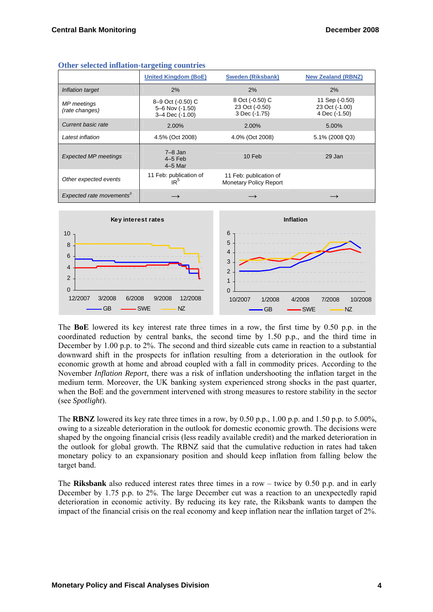|                                      | $\overline{\phantom{a}}$                                |                                                         |                                                   |
|--------------------------------------|---------------------------------------------------------|---------------------------------------------------------|---------------------------------------------------|
|                                      | <b>United Kingdom (BoE)</b>                             | <b>Sweden (Riksbank)</b>                                | <b>New Zealand (RBNZ)</b>                         |
| Inflation target                     | 2%                                                      | 2%                                                      | 2%                                                |
| MP meetings<br>(rate changes)        | 8-9 Oct (-0.50) C<br>5-6 Nov (-1.50)<br>3-4 Dec (-1.00) | 8 Oct (-0.50) C<br>23 Oct (-0.50)<br>3 Dec (-1.75)      | 11 Sep (-0.50)<br>23 Oct (-1.00)<br>4 Dec (-1.50) |
| Current basic rate                   | 2.00%                                                   | 2.00%                                                   | 5.00%                                             |
| Latest inflation                     | 4.5% (Oct 2008)                                         | 4.0% (Oct 2008)                                         | 5.1% (2008 Q3)                                    |
| <b>Expected MP meetings</b>          | $7 - 8$ Jan<br>$4-5$ Feb<br>$4-5$ Mar                   | 10 Feb                                                  | 29 Jan                                            |
| Other expected events                | 11 Feb: publication of<br>IR <sup>5</sup>               | 11 Feb: publication of<br><b>Monetary Policy Report</b> |                                                   |
| Expected rate movements <sup>3</sup> |                                                         |                                                         |                                                   |

|  |  | Other selected inflation-targeting countries |  |
|--|--|----------------------------------------------|--|
|--|--|----------------------------------------------|--|



The **BoE** lowered its key interest rate three times in a row, the first time by 0.50 p.p. in the coordinated reduction by central banks, the second time by 1.50 p.p., and the third time in December by 1.00 p.p. to 2%. The second and third sizeable cuts came in reaction to a substantial downward shift in the prospects for inflation resulting from a deterioration in the outlook for economic growth at home and abroad coupled with a fall in commodity prices. According to the November *Inflation Report*, there was a risk of inflation undershooting the inflation target in the medium term. Moreover, the UK banking system experienced strong shocks in the past quarter, when the BoE and the government intervened with strong measures to restore stability in the sector (see *Spotlight*).

The **RBNZ** lowered its key rate three times in a row, by 0.50 p.p., 1.00 p.p. and 1.50 p.p. to 5.00%, owing to a sizeable deterioration in the outlook for domestic economic growth. The decisions were shaped by the ongoing financial crisis (less readily available credit) and the marked deterioration in the outlook for global growth. The RBNZ said that the cumulative reduction in rates had taken monetary policy to an expansionary position and should keep inflation from falling below the target band.

The **Riksbank** also reduced interest rates three times in a row – twice by 0.50 p.p. and in early December by 1.75 p.p. to 2%. The large December cut was a reaction to an unexpectedly rapid deterioration in economic activity. By reducing its key rate, the Riksbank wants to dampen the impact of the financial crisis on the real economy and keep inflation near the inflation target of 2%.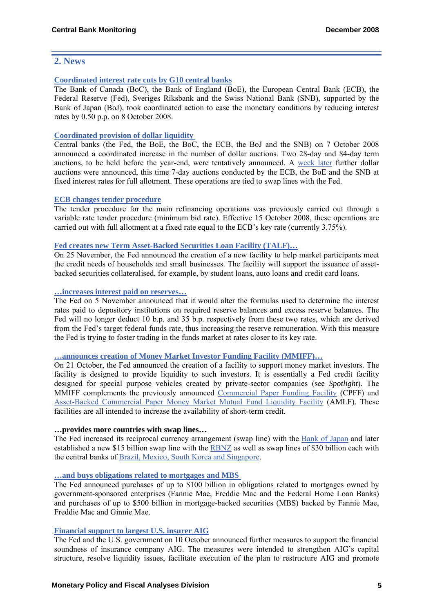## **2. News**

#### **[Coordinated interest rate cuts by G10 central banks](http://www.ecb.int/press/pr/date/2008/html/pr081008.en.html)**

The Bank of Canada (BoC), the Bank of England (BoE), the European Central Bank (ECB), the Federal Reserve (Fed), Sveriges Riksbank and the Swiss National Bank (SNB), supported by the Bank of Japan (BoJ), took coordinated action to ease the monetary conditions by reducing interest rates by 0.50 p.p. on 8 October 2008.

#### **[Coordinated provision of dollar liquidity](http://www.bankofengland.co.uk/publications/news/2008/065.htm)**

Central banks (the Fed, the BoE, the BoC, the ECB, the BoJ and the SNB) on 7 October 2008 announced a coordinated increase in the number of dollar auctions. Two 28-day and 84-day term auctions, to be held before the year-end, were tentatively announced. A [week later](http://www.bankofengland.co.uk/publications/news/2008/069.htm) further dollar auctions were announced, this time 7-day auctions conducted by the ECB, the BoE and the SNB at fixed interest rates for full allotment. These operations are tied to swap lines with the Fed.

#### **[ECB changes tender procedure](http://www.ecb.int/press/pr/date/2008/html/pr081008_2.en.html)**

The tender procedure for the main refinancing operations was previously carried out through a variable rate tender procedure (minimum bid rate). Effective 15 October 2008, these operations are carried out with full allotment at a fixed rate equal to the ECB's key rate (currently 3.75%).

#### **[Fed creates new Term Asset-Backed Securities Loan Facility \(TALF\)…](http://www.federalreserve.gov/newsevents/press/monetary/20081125a.htm)**

On 25 November, the Fed announced the creation of a new facility to help market participants meet the credit needs of households and small businesses. The facility will support the issuance of assetbacked securities collateralised, for example, by student loans, auto loans and credit card loans.

#### **[…increases interest paid on reserves…](http://www.federalreserve.gov/newsevents/press/monetary/20081105a.htm)**

The Fed on 5 November announced that it would alter the formulas used to determine the interest rates paid to depository institutions on required reserve balances and excess reserve balances. The Fed will no longer deduct 10 b.p. and 35 b.p. respectively from these two rates, which are derived from the Fed's target federal funds rate, thus increasing the reserve remuneration. With this measure the Fed is trying to foster trading in the funds market at rates closer to its key rate.

#### **[…announces creation of Money Market Investor Funding Facility \(MMIFF\)…](http://www.federalreserve.gov/newsevents/press/monetary/20081021a.htm)**

On 21 October, the Fed announced the creation of a facility to support money market investors. The facility is designed to provide liquidity to such investors. It is essentially a Fed credit facility designed for special purpose vehicles created by private-sector companies (see *Spotlight*). The MMIFF complements the previously announced [Commercial Paper Funding Facility](http://www.federalreserve.gov/monetarypolicy/cpff.htm) (CPFF) and [Asset-Backed Commercial Paper Money Market Mutual Fund Liquidity Facility](http://www.federalreserve.gov/monetarypolicy/abcpmmmf.htm) (AMLF). These facilities are all intended to increase the availability of short-term credit.

#### **…provides more countries with swap lines…**

The Fed increased its reciprocal currency arrangement (swap line) with the [Bank of Japan](http://www.federalreserve.gov/newsevents/press/monetary/20081014d.htm) and later established a new \$15 billion swap line with the [RBNZ](http://www.federalreserve.gov/newsevents/press/monetary/20081028a.htm) as well as swap lines of \$30 billion each with the central banks of [Brazil, Mexico, South Korea and Singapore](http://www.federalreserve.gov/newsevents/press/monetary/20081029b.htm).

#### **[…and buys obligations related to mortgages and MBS](http://www.federalreserve.gov/newsevents/press/monetary/20081125b.htm)**

The Fed announced purchases of up to \$100 billion in obligations related to mortgages owned by government-sponsored enterprises (Fannie Mae, Freddie Mac and the Federal Home Loan Banks) and purchases of up to \$500 billion in mortgage-backed securities (MBS) backed by Fannie Mae, Freddie Mac and Ginnie Mae.

#### **[Financial support to largest U.S. insurer AIG](http://www.federalreserve.gov/newsevents/press/other/20081110a.htm)**

The Fed and the U.S. government on 10 October announced further measures to support the financial soundness of insurance company AIG. The measures were intended to strengthen AIG's capital structure, resolve liquidity issues, facilitate execution of the plan to restructure AIG and promote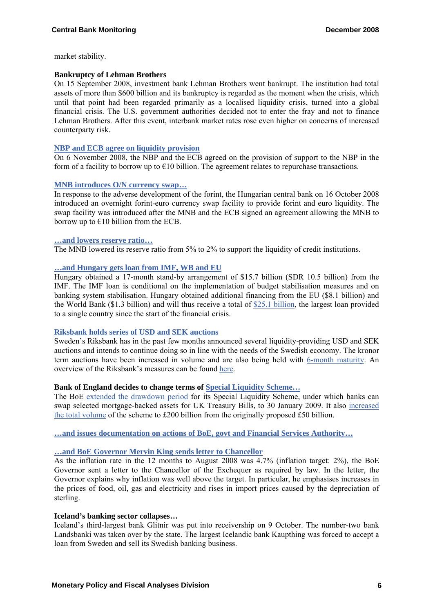market stability.

#### **Bankruptcy of Lehman Brothers**

On 15 September 2008, investment bank Lehman Brothers went bankrupt. The institution had total assets of more than \$600 billion and its bankruptcy is regarded as the moment when the crisis, which until that point had been regarded primarily as a localised liquidity crisis, turned into a global financial crisis. The U.S. government authorities decided not to enter the fray and not to finance Lehman Brothers. After this event, interbank market rates rose even higher on concerns of increased counterparty risk.

#### **[NBP and ECB agree on liquidity provision](http://www.ecb.int/press/pr/date/2008/html/pr081121.en.html)**

On 6 November 2008, the NBP and the ECB agreed on the provision of support to the NBP in the form of a facility to borrow up to  $\epsilon$ 10 billion. The agreement relates to repurchase transactions.

#### **[MNB introduces O/N currency swap…](http://english.mnb.hu/engine.aspx?page=mnben_eszkoztar_tenderek)**

In response to the adverse development of the forint, the Hungarian central bank on 16 October 2008 introduced an overnight forint-euro currency swap facility to provide forint and euro liquidity. The swap facility was introduced after the MNB and the ECB signed an agreement allowing the MNB to borrow up to  $\epsilon$ 10 billion from the ECB.

#### **[…and lowers reserve ratio…](http://english.mnb.hu/Engine.aspx?page=mnben_monet_kozlem&ContentID=11810)**

The MNB lowered its reserve ratio from 5% to 2% to support the liquidity of credit institutions.

#### **[…and Hungary gets loan from IMF, WB and EU](http://www.imf.org/external/np/sec/pr/2008/pr08275.htm)**

Hungary obtained a 17-month stand-by arrangement of \$15.7 billion (SDR 10.5 billion) from the IMF. The IMF loan is conditional on the implementation of budget stabilisation measures and on banking system stabilisation. Hungary obtained additional financing from the EU (\$8.1 billion) and the World Bank (\$1.3 billion) and will thus receive a total of [\\$25.1 billion,](http://www.reuters.com/article/GCA-CreditCrisis/idUSTRE49R3LT20081029) the largest loan provided to a single country since the start of the financial crisis.

#### **[Riksbank holds series of USD and SEK auctions](http://www.riksbank.com/templates/Page.aspx?id=29246)**

Sweden's Riksbank has in the past few months announced several liquidity-providing USD and SEK auctions and intends to continue doing so in line with the needs of the Swedish economy. The kronor term auctions have been increased in volume and are also being held with [6-month maturity](http://www.riksbank.com/templates/Page.aspx?id=29246). An overview of the Riksbank's measures can be found [here.](http://www.riksbank.com/templates/Page.aspx?id=29246)

## **Bank of England decides to change terms of [Special Liquidity Scheme…](http://www.bankofengland.co.uk/markets/sls/index.htm)**

The BoE [extended the drawdown period](http://www.bankofengland.co.uk/publications/news/2008/053.htm) for its Special Liquidity Scheme, under which banks can swap selected mortgage-backed assets for UK Treasury Bills, to 30 January 2009. It also [increased](http://www.bankofengland.co.uk/publications/news/2008/066.htm) [the total volume](http://www.bankofengland.co.uk/publications/news/2008/066.htm) of the scheme to £200 billion from the originally proposed £50 billion.

#### **[…and issues documentation on actions of BoE, govt and Financial Services Authority…](http://www.bankofengland.co.uk/financialstability/role/risk_reduction/banking_reform_bill/index.htm)**

## **[…and BoE Governor Mervin King sends letter to](http://www.bankofengland.co.uk/publications/news/2008/050.htm) Chancellor**

As the inflation rate in the 12 months to August 2008 was 4.7% (inflation target: 2%), the BoE Governor sent a letter to the Chancellor of the Exchequer as required by law. In the letter, the Governor explains why inflation was well above the target. In particular, he emphasises increases in the prices of food, oil, gas and electricity and rises in import prices caused by the depreciation of sterling.

#### **Iceland's banking sector collapses…**

Iceland's third-largest bank Glitnir was put into receivership on 9 October. The number-two bank Landsbanki was taken over by the state. The largest Icelandic bank Kaupthing was forced to accept a loan from Sweden and sell its Swedish banking business.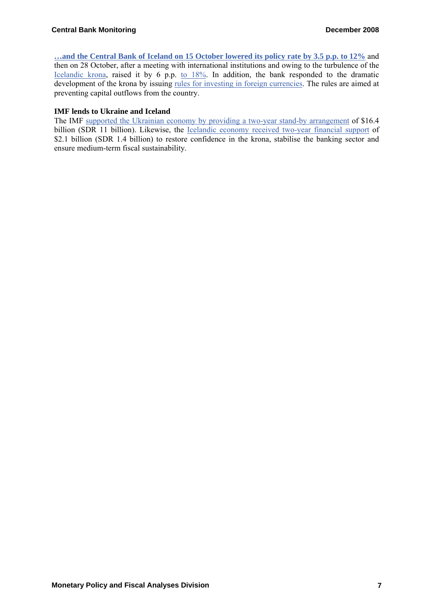**[…and the Central Bank of Iceland on 15 October lowered its policy rate by 3.5 p.p. to 12%](http://www.sedlabanki.is/?PageID=287&NewsID=1911)** and then on 28 October, after a meeting with international institutions and owing to the turbulence of the [Icelandic krona,](http://www.ecb.int/stats/exchange/eurofxref/html/eurofxref-graph-isk.en.html) raised it by 6 p.p. [to 18%](http://www.sedlabanki.is/?PageID=287&NewsID=1938). In addition, the bank responded to the dramatic development of the krona by issuing [rules for investing in foreign currencies.](http://www.sedlabanki.is/lisalib/getfile.aspx?itemid=6631) The rules are aimed at preventing capital outflows from the country.

#### **IMF lends to Ukraine and Iceland**

The IMF supported the Ukrainian economy by [providing a two-year stand-by arrangement](http://www.imf.org/external/np/sec/pr/2008/pr08271.htm) of \$16.4 billion (SDR 11 billion). Likewise, the [Icelandic economy received two-year financial support](http://www.imf.org/external/np/sec/pr/2008/pr08296.htm) of \$2.1 billion (SDR 1.4 billion) to restore confidence in the krona, stabilise the banking sector and ensure medium-term fiscal sustainability.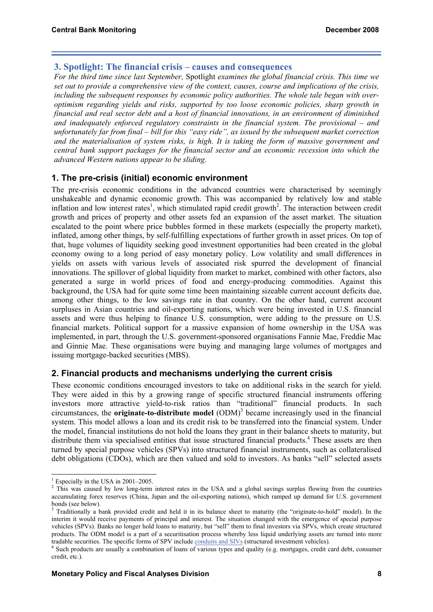### **3. Spotlight: The financial crisis – causes and consequences**

*For the third time since last September,* Spotlight *examines the global financial crisis. This time we set out to provide a comprehensive view of the context, causes, course and implications of the crisis, including the subsequent responses by economic policy authorities. The whole tale began with overoptimism regarding yields and risks, supported by too loose economic policies, sharp growth in financial and real sector debt and a host of financial innovations, in an environment of diminished and inadequately enforced regulatory constraints in the financial system. The provisional – and unfortunately far from final – bill for this "easy ride", as issued by the subsequent market correction and the materialisation of system risks, is high. It is taking the form of massive government and central bank support packages for the financial sector and an economic recession into which the advanced Western nations appear to be sliding.* 

## **1. The pre-crisis (initial) economic environment**

The pre-crisis economic conditions in the advanced countries were characterised by seemingly unshakeable and dynamic economic growth. This was accompanied by relatively low and stable inflation and low interest rates<sup>1</sup>, which stimulated rapid credit growth<sup>2</sup>. The interaction between credit growth and prices of property and other assets fed an expansion of the asset market. The situation escalated to the point where price bubbles formed in these markets (especially the property market), inflated, among other things, by self-fulfilling expectations of further growth in asset prices. On top of that, huge volumes of liquidity seeking good investment opportunities had been created in the global economy owing to a long period of easy monetary policy. Low volatility and small differences in yields on assets with various levels of associated risk spurred the development of financial innovations. The spillover of global liquidity from market to market, combined with other factors, also generated a surge in world prices of food and energy-producing commodities. Against this background, the USA had for quite some time been maintaining sizeable current account deficits due, among other things, to the low savings rate in that country. On the other hand, current account surpluses in Asian countries and oil-exporting nations, which were being invested in U.S. financial assets and were thus helping to finance U.S. consumption, were adding to the pressure on U.S. financial markets. Political support for a massive expansion of home ownership in the USA was implemented, in part, through the U.S. government-sponsored organisations Fannie Mae, Freddie Mac and Ginnie Mae. These organisations were buying and managing large volumes of mortgages and issuing mortgage-backed securities (MBS).

## **2. Financial products and mechanisms underlying the current crisis**

These economic conditions encouraged investors to take on additional risks in the search for yield. They were aided in this by a growing range of specific structured financial instruments offering investors more attractive yield-to-risk ratios than "traditional" financial products. In such circumstances, the **originate-to-distribute model** (ODM)<sup>3</sup> became increasingly used in the financial system. This model allows a loan and its credit risk to be transferred into the financial system. Under the model, financial institutions do not hold the loans they grant in their balance sheets to maturity, but distribute them via specialised entities that issue structured financial products.<sup>4</sup> These assets are then turned by special purpose vehicles (SPVs) into structured financial instruments, such as collateralised debt obligations (CDOs), which are then valued and sold to investors. As banks "sell" selected assets

<sup>&</sup>lt;sup>1</sup> Especially in the USA in 2001–2005.

<sup>&</sup>lt;sup>2</sup> This was caused by low long-term interest rates in the USA and a global savings surplus flowing from the countries accumulating forex reserves (China, Japan and the oil-exporting nations), which ramped up demand for U.S. government bonds (see below).

<sup>3</sup> Traditionally a bank provided credit and held it in its balance sheet to maturity (the "originate-to-hold" model). In the interim it would receive payments of principal and interest. The situation changed with the emergence of special purpose vehicles (SPVs). Banks no longer hold loans to maturity, but "sell" them to final investors via SPVs, which create structured products. The ODM model is a part of a securitisation process whereby less liquid underlying assets are turned into more tradable securities. The specific forms of SPV include [conduits and SIVs](http://www.cnb.cz/en/financial_stability/fs_reports/fsr_2007/FSR_2007_glossary.pdf) (structured investment vehicles). 4

<sup>&</sup>lt;sup>4</sup> Such products are usually a combination of loans of various types and quality (e.g. mortgages, credit card debt, consumer credit, etc.).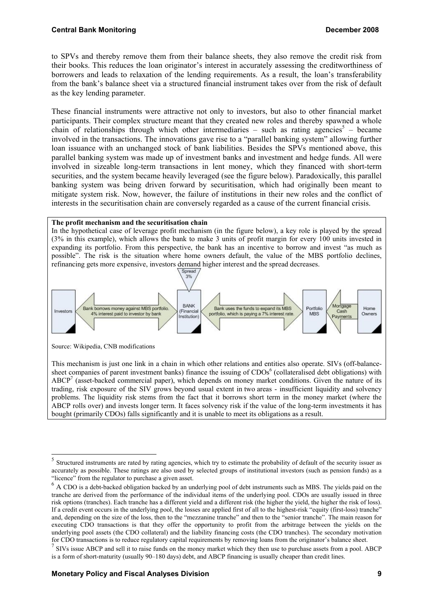to SPVs and thereby remove them from their balance sheets, they also remove the credit risk from their books. This reduces the loan originator's interest in accurately assessing the creditworthiness of borrowers and leads to relaxation of the lending requirements. As a result, the loan's transferability from the bank's balance sheet via a structured financial instrument takes over from the risk of default as the key lending parameter.

These financial instruments were attractive not only to investors, but also to other financial market participants. Their complex structure meant that they created new roles and thereby spawned a whole chain of relationships through which other intermediaries – such as rating agencies<sup>5</sup> – became involved in the transactions. The innovations gave rise to a "parallel banking system" allowing further loan issuance with an unchanged stock of bank liabilities. Besides the SPVs mentioned above, this parallel banking system was made up of investment banks and investment and hedge funds. All were involved in sizeable long-term transactions in lent money, which they financed with short-term securities, and the system became heavily leveraged (see the figure below). Paradoxically, this parallel banking system was being driven forward by securitisation, which had originally been meant to mitigate system risk. Now, however, the failure of institutions in their new roles and the conflict of interests in the securitisation chain are conversely regarded as a cause of the current financial crisis.

#### **The profit mechanism and the securitisation chain**

In the hypothetical case of leverage profit mechanism (in the figure below), a key role is played by the spread (3% in this example), which allows the bank to make 3 units of profit margin for every 100 units invested in expanding its portfolio. From this perspective, the bank has an incentive to borrow and invest "as much as possible". The risk is the situation where home owners default, the value of the MBS portfolio declines, refinancing gets more expensive, investors demand higher interest and the spread decreases.



Source: Wikipedia, CNB modifications

-

This mechanism is just one link in a chain in which other relations and entities also operate. SIVs (off-balancesheet companies of parent investment banks) finance the issuing of CDOs<sup>6</sup> (collateralised debt obligations) with  $ABCP<sup>7</sup>$  (asset-backed commercial paper), which depends on money market conditions. Given the nature of its trading, risk exposure of the SIV grows beyond usual extent in two areas - insufficient liquidity and solvency problems. The liquidity risk stems from the fact that it borrows short term in the money market (where the ABCP rolls over) and invests longer term. It faces solvency risk if the value of the long-term investments it has bought (primarily CDOs) falls significantly and it is unable to meet its obligations as a result.

<sup>&</sup>lt;sup>5</sup> Structured instruments are rated by rating agencies, which try to estimate the probability of default of the security issuer as accurately as possible. These ratings are also used by selected groups of institutional investors (such as pension funds) as a "licence" from the regulator to purchase a given asset.

<sup>&</sup>lt;sup>6</sup> A CDO is a debt-backed obligation backed by an underlying pool of debt instruments such as MBS. The yields paid on the tranche are derived from the performance of the individual items of the underlying pool. CDOs are usually issued in three risk options (tranches). Each tranche has a different yield and a different risk (the higher the yield, the higher the risk of loss). If a credit event occurs in the underlying pool, the losses are applied first of all to the highest-risk "equity (first-loss) tranche" and, depending on the size of the loss, then to the "mezzanine tranche" and then to the "senior tranche". The main reason for executing CDO transactions is that they offer the opportunity to profit from the arbitrage between the yields on the underlying pool assets (the CDO collateral) and the liability financing costs (the CDO tranches). The secondary motivation for CDO transactions is to reduce regulatory capital requirements by removing loans from the originator's balance sheet.

<sup>&</sup>lt;sup>7</sup> SIVs issue ABCP and sell it to raise funds on the money market which they then use to purchase assets from a pool. ABCP is a form of short-maturity (usually 90–180 days) debt, and ABCP financing is usually cheaper than credit lines.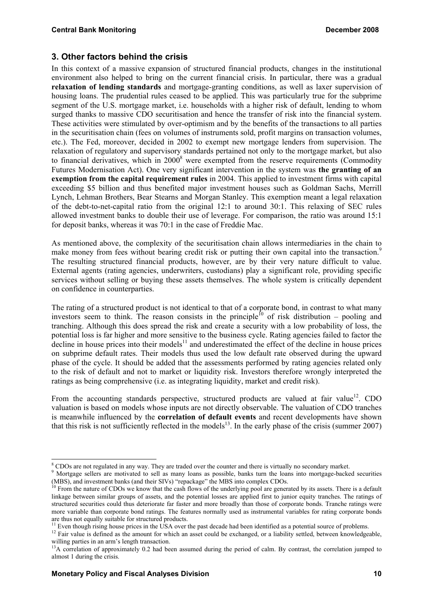## **3. Other factors behind the crisis**

In this context of a massive expansion of structured financial products, changes in the institutional environment also helped to bring on the current financial crisis. In particular, there was a gradual **relaxation of lending standards** and mortgage-granting conditions, as well as laxer supervision of housing loans. The prudential rules ceased to be applied. This was particularly true for the subprime segment of the U.S. mortgage market, i.e. households with a higher risk of default, lending to whom surged thanks to massive CDO securitisation and hence the transfer of risk into the financial system. These activities were stimulated by over-optimism and by the benefits of the transactions to all parties in the securitisation chain (fees on volumes of instruments sold, profit margins on transaction volumes, etc.). The Fed, moreover, decided in 2002 to exempt new mortgage lenders from supervision. The relaxation of regulatory and supervisory standards pertained not only to the mortgage market, but also to financial derivatives, which in  $2000<sup>8</sup>$  were exempted from the reserve requirements (Commodity Futures Modernisation Act). One very significant intervention in the system was **the granting of an exemption from the capital requirement rules** in 2004. This applied to investment firms with capital exceeding \$5 billion and thus benefited major investment houses such as Goldman Sachs, Merrill Lynch, Lehman Brothers, Bear Stearns and Morgan Stanley. This exemption meant a legal relaxation of the debt-to-net-capital ratio from the original 12:1 to around 30:1. This relaxing of SEC rules allowed investment banks to double their use of leverage. For comparison, the ratio was around 15:1 for deposit banks, whereas it was 70:1 in the case of Freddie Mac.

As mentioned above, the complexity of the securitisation chain allows intermediaries in the chain to make money from fees without bearing credit risk or putting their own capital into the transaction.<sup>9</sup> The resulting structured financial products, however, are by their very nature difficult to value. External agents (rating agencies, underwriters, custodians) play a significant role, providing specific services without selling or buying these assets themselves. The whole system is critically dependent on confidence in counterparties.

The rating of a structured product is not identical to that of a corporate bond, in contrast to what many investors seem to think. The reason consists in the principle<sup>10</sup> of risk distribution – pooling and tranching. Although this does spread the risk and create a security with a low probability of loss, the potential loss is far higher and more sensitive to the business cycle. Rating agencies failed to factor the  $\alpha$  decline in house prices into their models<sup>11</sup> and underestimated the effect of the decline in house prices on subprime default rates. Their models thus used the low default rate observed during the upward phase of the cycle. It should be added that the assessments performed by rating agencies related only to the risk of default and not to market or liquidity risk. Investors therefore wrongly interpreted the ratings as being comprehensive (i.e. as integrating liquidity, market and credit risk).

From the accounting standards perspective, structured products are valued at fair value<sup>12</sup>. CDO valuation is based on models whose inputs are not directly observable. The valuation of CDO tranches is meanwhile influenced by the **correlation of default events** and recent developments have shown that this risk is not sufficiently reflected in the models<sup>13</sup>. In the early phase of the crisis (summer 2007)

1

<sup>&</sup>lt;sup>8</sup> CDOs are not regulated in any way. They are traded over the counter and there is virtually no secondary market.

<sup>9</sup> <sup>9</sup> Mortgage sellers are motivated to sell as many loans as possible, banks turn the loans into mortgage-backed securities (MBS), and investment banks (and their SIVs) "repackage" the MBS into complex CDOs.

 $\frac{10}{10}$  From the nature of CDOs we know that the cash flows of the underlying pool are generated by its assets. There is a default linkage between similar groups of assets, and the potential losses are applied first to junior equity tranches. The ratings of structured securities could thus deteriorate far faster and more broadly than those of corporate bonds. Tranche ratings were more variable than corporate bond ratings. The features normally used as instrumental variables for rating corporate bonds are thus not equally suitable for structured products.<br><sup>11</sup> Even though rising house prices in the USA over the past decade had been identified as a potential source of problems.<br><sup>12</sup> Fair value is defined as the amount f

willing parties in an arm's length transaction.

<sup>&</sup>lt;sup>13</sup>A correlation of approximately 0.2 had been assumed during the period of calm. By contrast, the correlation jumped to almost 1 during the crisis.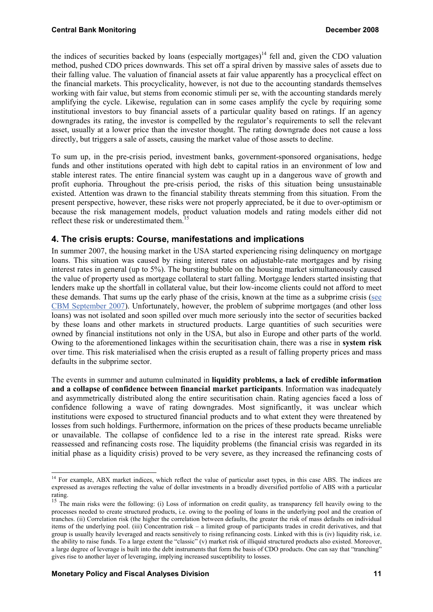the indices of securities backed by loans (especially mortgages)<sup>14</sup> fell and, given the CDO valuation method, pushed CDO prices downwards. This set off a spiral driven by massive sales of assets due to their falling value. The valuation of financial assets at fair value apparently has a procyclical effect on the financial markets. This procyclicality, however, is not due to the accounting standards themselves working with fair value, but stems from economic stimuli per se, with the accounting standards merely amplifying the cycle. Likewise, regulation can in some cases amplify the cycle by requiring some institutional investors to buy financial assets of a particular quality based on ratings. If an agency downgrades its rating, the investor is compelled by the regulator's requirements to sell the relevant asset, usually at a lower price than the investor thought. The rating downgrade does not cause a loss directly, but triggers a sale of assets, causing the market value of those assets to decline.

To sum up, in the pre-crisis period, investment banks, government-sponsored organisations, hedge funds and other institutions operated with high debt to capital ratios in an environment of low and stable interest rates. The entire financial system was caught up in a dangerous wave of growth and profit euphoria. Throughout the pre-crisis period, the risks of this situation being unsustainable existed. Attention was drawn to the financial stability threats stemming from this situation. From the present perspective, however, these risks were not properly appreciated, be it due to over-optimism or because the risk management models, product valuation models and rating models either did not reflect these risk or underestimated them.<sup>1</sup>

## **4. The crisis erupts: Course, manifestations and implications**

In summer 2007, the housing market in the USA started experiencing rising delinquency on mortgage loans. This situation was caused by rising interest rates on adjustable-rate mortgages and by rising interest rates in general (up to 5%). The bursting bubble on the housing market simultaneously caused the value of property used as mortgage collateral to start falling. Mortgage lenders started insisting that lenders make up the shortfall in collateral value, but their low-income clients could not afford to meet these demands. That sums up the early phase of the crisis, known at the time as a subprime crisis (see [CBM September 2007\)](http://www.cnb.cz/m2export/sites/www.cnb.cz/en/monetary_policy/monitoring/download/0703_cbm.pdf). Unfortunately, however, the problem of subprime mortgages (and other loss loans) was not isolated and soon spilled over much more seriously into the sector of securities backed by these loans and other markets in structured products. Large quantities of such securities were owned by financial institutions not only in the USA, but also in Europe and other parts of the world. Owing to the aforementioned linkages within the securitisation chain, there was a rise in **system risk** over time. This risk materialised when the crisis erupted as a result of falling property prices and mass defaults in the subprime sector.

The events in summer and autumn culminated in **liquidity problems, a lack of credible information and a collapse of confidence between financial market participants**. Information was inadequately and asymmetrically distributed along the entire securitisation chain. Rating agencies faced a loss of confidence following a wave of rating downgrades. Most significantly, it was unclear which institutions were exposed to structured financial products and to what extent they were threatened by losses from such holdings. Furthermore, information on the prices of these products became unreliable or unavailable. The collapse of confidence led to a rise in the interest rate spread. Risks were reassessed and refinancing costs rose. The liquidity problems (the financial crisis was regarded in its initial phase as a liquidity crisis) proved to be very severe, as they increased the refinancing costs of

<sup>-</sup><sup>14</sup> For example, ABX market indices, which reflect the value of particular asset types, in this case ABS. The indices are expressed as averages reflecting the value of dollar investments in a broadly diversified portfolio of ABS with a particular rating.

<sup>&</sup>lt;sup>15</sup> The main risks were the following: (i) Loss of information on credit quality, as transparency fell heavily owing to the processes needed to create structured products, i.e. owing to the pooling of loans in the underlying pool and the creation of tranches. (ii) Correlation risk (the higher the correlation between defaults, the greater the risk of mass defaults on individual items of the underlying pool. (iii) Concentration risk – a limited group of participants trades in credit derivatives, and that group is usually heavily leveraged and reacts sensitively to rising refinancing costs. Linked with this is (iv) liquidity risk, i.e. the ability to raise funds. To a large extent the "classic" (v) market risk of illiquid structured products also existed. Moreover, a large degree of leverage is built into the debt instruments that form the basis of CDO products. One can say that "tranching" gives rise to another layer of leveraging, implying increased susceptibility to losses.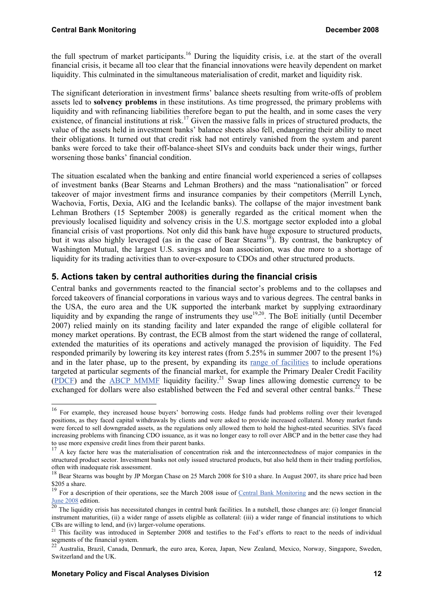the full spectrum of market participants.<sup>16</sup> During the liquidity crisis, i.e. at the start of the overall financial crisis, it became all too clear that the financial innovations were heavily dependent on market liquidity. This culminated in the simultaneous materialisation of credit, market and liquidity risk.

The significant deterioration in investment firms' balance sheets resulting from write-offs of problem assets led to **solvency problems** in these institutions. As time progressed, the primary problems with liquidity and with refinancing liabilities therefore began to put the health, and in some cases the very existence, of financial institutions at risk.<sup>17</sup> Given the massive falls in prices of structured products, the value of the assets held in investment banks' balance sheets also fell, endangering their ability to meet their obligations. It turned out that credit risk had not entirely vanished from the system and parent banks were forced to take their off-balance-sheet SIVs and conduits back under their wings, further worsening those banks' financial condition.

The situation escalated when the banking and entire financial world experienced a series of collapses of investment banks (Bear Stearns and Lehman Brothers) and the mass "nationalisation" or forced takeover of major investment firms and insurance companies by their competitors (Merrill Lynch, Wachovia, Fortis, Dexia, AIG and the Icelandic banks). The collapse of the major investment bank Lehman Brothers (15 September 2008) is generally regarded as the critical moment when the previously localised liquidity and solvency crisis in the U.S. mortgage sector exploded into a global financial crisis of vast proportions. Not only did this bank have huge exposure to structured products, but it was also highly leveraged (as in the case of Bear Stearns<sup>18</sup>). By contrast, the bankruptcy of Washington Mutual, the largest U.S. savings and loan association, was due more to a shortage of liquidity for its trading activities than to over-exposure to CDOs and other structured products.

## **5. Actions taken by central authorities during the financial crisis**

Central banks and governments reacted to the financial sector's problems and to the collapses and forced takeovers of financial corporations in various ways and to various degrees. The central banks in the USA, the euro area and the UK supported the interbank market by supplying extraordinary liquidity and by expanding the range of instruments they use<sup>19,20</sup>. The BoE initially (until December 2007) relied mainly on its standing facility and later expanded the range of eligible collateral for money market operations. By contrast, the ECB almost from the start widened the range of collateral, extended the maturities of its operations and actively managed the provision of liquidity. The Fed responded primarily by lowering its key interest rates (from 5.25% in summer 2007 to the present 1%) and in the later phase, up to the present, by expanding its [range of facilities](http://www.federalreserve.gov/monetarypolicy/taf.htm) to include operations targeted at particular segments of the financial market, for example the Primary Dealer Credit Facility [\(PDCF\)](http://www.federalreserve.gov/monetarypolicy/pdcf.htm) and the [ABCP MMMF](http://www.federalreserve.gov/monetarypolicy/abcpmmmf.htm) liquidity facility.<sup>21</sup> Swap lines allowing domestic currency to be exchanged for dollars were also established between the Fed and several other central banks.<sup>22</sup> These

-

<sup>&</sup>lt;sup>16</sup> For example, they increased house buyers' borrowing costs. Hedge funds had problems rolling over their leveraged positions, as they faced capital withdrawals by clients and were asked to provide increased collateral. Money market funds were forced to sell downgraded assets, as the regulations only allowed them to hold the highest-rated securities. SIVs faced increasing problems with financing CDO issuance, as it was no longer easy to roll over ABCP and in the better case they had to use more expensive credit lines from their parent banks.

<sup>&</sup>lt;sup>17</sup> A key factor here was the materialisation of concentration risk and the interconnectedness of major companies in the structured product sector. Investment banks not only issued structured products, but also held them in their trading portfolios, often with inadequate risk assessment.

<sup>&</sup>lt;sup>18</sup> Bear Stearns was bought by JP Morgan Chase on 25 March 2008 for \$10 a share. In August 2007, its share price had been \$205 a share.

<sup>&</sup>lt;sup>19</sup> For a description of their operations, see the March 2008 issue of <u>Central Bank Monitoring</u> and the news section in the [June 2008](http://www.cnb.cz/m2export/sites/www.cnb.cz/en/monetary_policy/monitoring/download/0802_cbm.pdf) edition.

 $^{20}$  The liquidity crisis has necessitated changes in central bank facilities. In a nutshell, those changes are: (i) longer financial instrument maturities, (ii) a wider range of assets eligible as collateral: (iii) a wider range of financial institutions to which CBs are willing to lend, and (iv) larger-volume operations.

<sup>&</sup>lt;sup>21</sup> This facility was introduced in September 2008 and testifies to the Fed's efforts to react to the needs of individual segments of the financial system.

<sup>22</sup> Australia, Brazil, Canada, Denmark, the euro area, Korea, Japan, New Zealand, Mexico, Norway, Singapore, Sweden, Switzerland and the UK.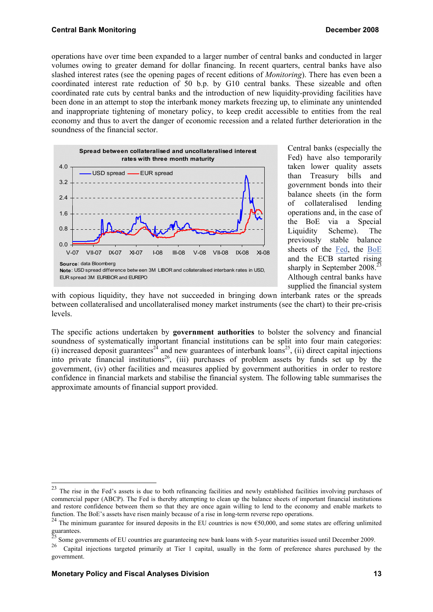operations have over time been expanded to a larger number of central banks and conducted in larger volumes owing to greater demand for dollar financing. In recent quarters, central banks have also slashed interest rates (see the opening pages of recent editions of *Monitoring*). There has even been a coordinated interest rate reduction of 50 b.p. by G10 central banks. These sizeable and often coordinated rate cuts by central banks and the introduction of new liquidity-providing facilities have been done in an attempt to stop the interbank money markets freezing up, to eliminate any unintended and inappropriate tightening of monetary policy, to keep credit accessible to entities from the real economy and thus to avert the danger of economic recession and a related further deterioration in the soundness of the financial sector.



Central banks (especially the Fed) have also temporarily taken lower quality assets than Treasury bills and government bonds into their balance sheets (in the form of collateralised lending operations and, in the case of the BoE via a Special Liquidity Scheme). The previously stable balance sheets of the [Fed,](http://www.federalreserve.gov/releases/h41/hist/h41hist1.pdf) the [BoE](http://www.bankofengland.co.uk/mfsd/iadb/index.asp?Travel=NIxSTxTBx&levels=1&FullPage=&FullPageHistory=&Nodes=X42565X42566X42567X42568X42570&SectionRequired=B&HideNums=-1&ExtraInfo=false&E42570XBMX42565X42568.x=20&E42570XBMX42565X42568.y=9) and the ECB started rising sharply in September 2008.<sup>23</sup> Although central banks have supplied the financial system

with copious liquidity, they have not succeeded in bringing down interbank rates or the spreads between collateralised and uncollateralised money market instruments (see the chart) to their pre-crisis levels.

The specific actions undertaken by **government authorities** to bolster the solvency and financial soundness of systematically important financial institutions can be split into four main categories: (i) increased deposit guarantees<sup>24</sup> and new guarantees of interbank loans<sup>25</sup>, (ii) direct capital injections into private financial institutions<sup>26</sup>, (iii) purchases of problem assets by funds set up by the government, (iv) other facilities and measures applied by government authorities in order to restore confidence in financial markets and stabilise the financial system. The following table summarises the approximate amounts of financial support provided.

-

 $^{23}$  The rise in the Fed's assets is due to both refinancing facilities and newly established facilities involving purchases of commercial paper (ABCP). The Fed is thereby attempting to clean up the balance sheets of important financial institutions and restore confidence between them so that they are once again willing to lend to the economy and enable markets to function. The BoE's assets have risen mainly because of a rise in long-term reverse repo operations.

<sup>&</sup>lt;sup>24</sup> The minimum guarantee for insured deposits in the EU countries is now  $\epsilon$ 50,000, and some states are offering unlimited  $\frac{1}{25}$  and  $\frac{1}{25}$ 

<sup>&</sup>lt;sup>25</sup> Some governments of EU countries are guaranteeing new bank loans with 5-year maturities issued until December 2009.<br><sup>26</sup> Countal injections tenested minority at Tien 1 senited unually in the form of professors change

<sup>26</sup> Capital injections targeted primarily at Tier 1 capital, usually in the form of preference shares purchased by the government.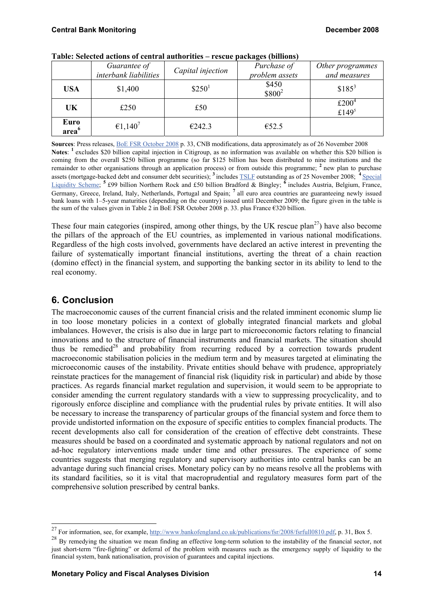|                           | Guarantee of<br>interbank liabilities | Capital injection  | Purchase of<br>problem assets | Other programmes<br>and measures |
|---------------------------|---------------------------------------|--------------------|-------------------------------|----------------------------------|
| <b>USA</b>                | \$1,400                               | \$250 <sup>1</sup> | \$450<br>$$800^2$             | $$185^3$                         |
| UK                        | £250                                  | £50                |                               | £200 $4$<br>£1495                |
| Euro<br>area <sup>6</sup> | €1,140 <sup>7</sup>                   | €242.3             | €52.5                         |                                  |

**Table: Selected actions of central authorities – rescue packages (billions)** 

**Sources**: Press releases, [BoE FSR October 2008](http://www.bankofengland.co.uk/publications/fsr/2008/fsrfull0810.pdf) p. 33, CNB modifications, data approximately as of 26 November 2008 **Notes**: **1** excludes \$20 billion capital injection in Citigroup, as no information was available on whether this \$20 billion is coming from the overall \$250 billion programme (so far \$125 billion has been distributed to nine institutions and the remainder to other organisations through an application process) or from outside this programme; **2** new plan to purchase assets (mortgage-backed debt and consumer debt securities); **<sup>3</sup>**includes [TSLF](http://www.newyorkfed.org/markets/tslf/termseclending_Historical.cfm) outstanding as of 25 November 2008; **4** Special [Liquidity Scheme;](http://www.bankofengland.co.uk/markets/sls/index.htm) **5** £99 billion Northern Rock and £50 billion Bradford & Bingley; **6** includes Austria, Belgium, France, Germany, Greece, Ireland, Italy, Netherlands, Portugal and Spain; **7** all euro area countries are guaranteeing newly issued bank loans with 1–5-year maturities (depending on the country) issued until December 2009; the figure given in the table is the sum of the values given in Table 2 in BoE FSR October 2008 p. 33. plus France  $\epsilon$ 320 billion.

These four main categories (inspired, among other things, by the UK rescue plan<sup>27</sup>) have also become the pillars of the approach of the EU countries, as implemented in various national modifications. Regardless of the high costs involved, governments have declared an active interest in preventing the failure of systematically important financial institutions, averting the threat of a chain reaction (domino effect) in the financial system, and supporting the banking sector in its ability to lend to the real economy.

# **6. Conclusion**

-

The macroeconomic causes of the current financial crisis and the related imminent economic slump lie in too loose monetary policies in a context of globally integrated financial markets and global imbalances. However, the crisis is also due in large part to microeconomic factors relating to financial innovations and to the structure of financial instruments and financial markets. The situation should thus be remedied<sup>28</sup> and probability from recurring reduced by a correction towards prudent macroeconomic stabilisation policies in the medium term and by measures targeted at eliminating the microeconomic causes of the instability. Private entities should behave with prudence, appropriately reinstate practices for the management of financial risk (liquidity risk in particular) and abide by those practices. As regards financial market regulation and supervision, it would seem to be appropriate to consider amending the current regulatory standards with a view to suppressing procyclicality, and to rigorously enforce discipline and compliance with the prudential rules by private entities. It will also be necessary to increase the transparency of particular groups of the financial system and force them to provide undistorted information on the exposure of specific entities to complex financial products. The recent developments also call for consideration of the creation of effective debt constraints. These measures should be based on a coordinated and systematic approach by national regulators and not on ad-hoc regulatory interventions made under time and other pressures. The experience of some countries suggests that merging regulatory and supervisory authorities into central banks can be an advantage during such financial crises. Monetary policy can by no means resolve all the problems with its standard facilities, so it is vital that macroprudential and regulatory measures form part of the comprehensive solution prescribed by central banks.

<sup>&</sup>lt;sup>27</sup> For information, see, for example,  $\frac{http://www.bankofengland.co.uk/publications/fsr/2008/fsrfull0810.pdf}{http://www.bankofengland.co.uk/publications/fsr/2008/fsrfull0810.pdf}$ , p. 31, Box 5.

<sup>&</sup>lt;sup>28</sup> By remedying the situation we mean finding an effective long-term solution to the instability of the financial sector, not just short-term "fire-fighting" or deferral of the problem with measures such as the emergency supply of liquidity to the financial system, bank nationalisation, provision of guarantees and capital injections.